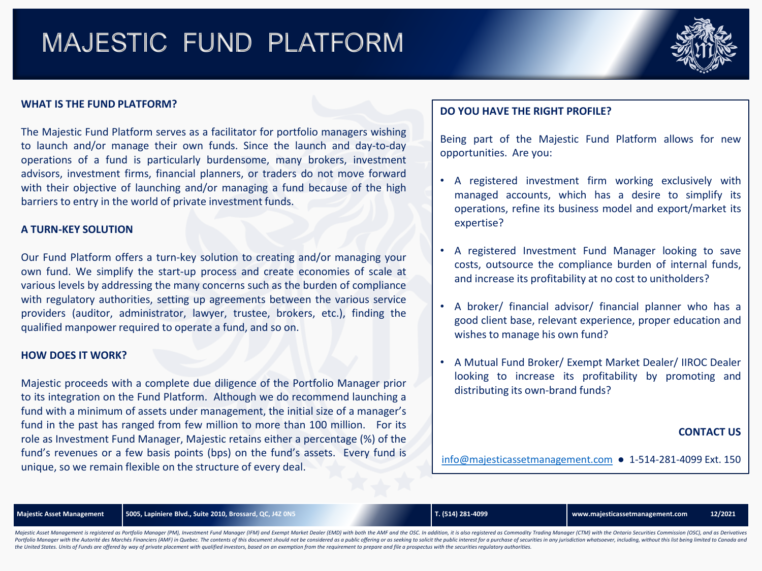# MAJESTIC FUND PLATFORM



## **WHAT IS THE FUND PLATFORM?**

The Majestic Fund Platform serves as a facilitator for portfolio managers wishing to launch and/or manage their own funds. Since the launch and day-to-day operations of a fund is particularly burdensome, many brokers, investment advisors, investment firms, financial planners, or traders do not move forward with their objective of launching and/or managing a fund because of the high barriers to entry in the world of private investment funds.

### **A TURN-KEY SOLUTION**

Our Fund Platform offers a turn-key solution to creating and/or managing your own fund. We simplify the start-up process and create economies of scale at various levels by addressing the many concerns such as the burden of compliance with regulatory authorities, setting up agreements between the various service providers (auditor, administrator, lawyer, trustee, brokers, etc.), finding the qualified manpower required to operate a fund, and so on.

#### **HOW DOES IT WORK?**

Majestic proceeds with a complete due diligence of the Portfolio Manager prior to its integration on the Fund Platform. Although we do recommend launching a fund with a minimum of assets under management, the initial size of a manager's fund in the past has ranged from few million to more than 100 million. For its role as Investment Fund Manager, Majestic retains either a percentage (%) of the fund's revenues or a few basis points (bps) on the fund's assets. Every fund is unique, so we remain flexible on the structure of every deal.

# **DO YOU HAVE THE RIGHT PROFILE?**

Being part of the Majestic Fund Platform allows for new opportunities. Are you:

- A registered investment firm working exclusively with managed accounts, which has a desire to simplify its operations, refine its business model and export/market its expertise?
- A registered Investment Fund Manager looking to save costs, outsource the compliance burden of internal funds, and increase its profitability at no cost to unitholders?
- A broker/ financial advisor/ financial planner who has a good client base, relevant experience, proper education and wishes to manage his own fund?
- A Mutual Fund Broker/ Exempt Market Dealer/ IIROC Dealer looking to increase its profitability by promoting and distributing its own-brand funds?

### **CONTACT US**

[info@majesticassetmanagement.com](mailto:info@majesticassetmanagement.com) ● 1-514-281-4099 Ext. 150

**Majestic Asset Management 5005, Lapiniere Blvd., Suite 2010, Brossard, QC, J4Z 0N5 T. (514) 281-4099 www.majesticassetmanagement.com 12/2021**

Majestic Asset Management is registered as Portfolio Manager (PM), Investment Fund Manager (IFM) and Exempt Market Dealer (EMD) with both the AMF and the OSC. In addition, it is also registered as Commodity Trading Manager Portfolio Manager with the Autorité des Marchés Financiers (AMF) in Quebec. The contents of this document should not be considered as a public offering or as seeking to solicit the public interest for a purchase of securit the United States. Units of Funds are offered by way of private placement with qualified investors, based on an exemption from the requirement to prepare and file a prospectus with the securities regulatory authorities.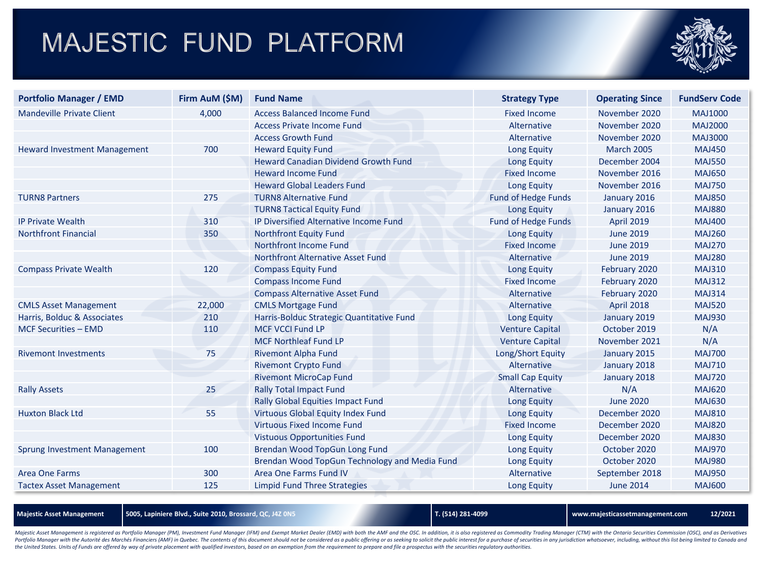# MAJESTIC FUND PLATFORM



| <b>Portfolio Manager / EMD</b>      | Firm AuM (\$M) | <b>Fund Name</b>                              | <b>Strategy Type</b>       | <b>Operating Since</b> | <b>FundServ Code</b> |
|-------------------------------------|----------------|-----------------------------------------------|----------------------------|------------------------|----------------------|
| Mandeville Private Client           | 4,000          | <b>Access Balanced Income Fund</b>            | <b>Fixed Income</b>        | November 2020          | <b>MAJ1000</b>       |
|                                     |                | <b>Access Private Income Fund</b>             | Alternative                | November 2020          | <b>MAJ2000</b>       |
|                                     |                | <b>Access Growth Fund</b>                     | Alternative                | November 2020          | MAJ3000              |
| <b>Heward Investment Management</b> | 700            | <b>Heward Equity Fund</b>                     | <b>Long Equity</b>         | <b>March 2005</b>      | <b>MAJ450</b>        |
|                                     |                | <b>Heward Canadian Dividend Growth Fund</b>   | Long Equity                | December 2004          | <b>MAJ550</b>        |
|                                     |                | <b>Heward Income Fund</b>                     | <b>Fixed Income</b>        | November 2016          | <b>MAJ650</b>        |
|                                     |                | <b>Heward Global Leaders Fund</b>             | <b>Long Equity</b>         | November 2016          | <b>MAJ750</b>        |
| <b>TURN8 Partners</b>               | 275            | <b>TURN8 Alternative Fund</b>                 | <b>Fund of Hedge Funds</b> | January 2016           | <b>MAJ850</b>        |
|                                     |                | <b>TURN8 Tactical Equity Fund</b>             | <b>Long Equity</b>         | January 2016           | <b>MAJ880</b>        |
| <b>IP Private Wealth</b>            | 310            | <b>IP Diversified Alternative Income Fund</b> | <b>Fund of Hedge Funds</b> | <b>April 2019</b>      | <b>MAJ400</b>        |
| <b>Northfront Financial</b>         | 350            | <b>Northfront Equity Fund</b>                 | <b>Long Equity</b>         | <b>June 2019</b>       | <b>MAJ260</b>        |
|                                     |                | <b>Northfront Income Fund</b>                 | <b>Fixed Income</b>        | <b>June 2019</b>       | <b>MAJ270</b>        |
|                                     |                | Northfront Alternative Asset Fund             | Alternative                | <b>June 2019</b>       | <b>MAJ280</b>        |
| <b>Compass Private Wealth</b>       | 120            | <b>Compass Equity Fund</b>                    | <b>Long Equity</b>         | February 2020          | <b>MAJ310</b>        |
|                                     |                | <b>Compass Income Fund</b>                    | <b>Fixed Income</b>        | February 2020          | <b>MAJ312</b>        |
|                                     |                | <b>Compass Alternative Asset Fund</b>         | Alternative                | February 2020          | <b>MAJ314</b>        |
| <b>CMLS Asset Management</b>        | 22,000         | <b>CMLS Mortgage Fund</b>                     | Alternative                | <b>April 2018</b>      | <b>MAJ520</b>        |
| Harris, Bolduc & Associates         | 210            | Harris-Bolduc Strategic Quantitative Fund     | <b>Long Equity</b>         | January 2019           | <b>MAJ930</b>        |
| MCF Securities - EMD                | 110            | <b>MCF VCCI Fund LP</b>                       | <b>Venture Capital</b>     | October 2019           | N/A                  |
|                                     |                | <b>MCF Northleaf Fund LP</b>                  | <b>Venture Capital</b>     | November 2021          | N/A                  |
| <b>Rivemont Investments</b>         | 75             | <b>Rivemont Alpha Fund</b>                    | Long/Short Equity          | January 2015           | <b>MAJ700</b>        |
|                                     |                | <b>Rivemont Crypto Fund</b>                   | Alternative                | January 2018           | <b>MAJ710</b>        |
|                                     |                | <b>Rivemont MicroCap Fund</b>                 | <b>Small Cap Equity</b>    | January 2018           | <b>MAJ720</b>        |
| <b>Rally Assets</b>                 | 25             | <b>Rally Total Impact Fund</b>                | Alternative                | N/A                    | <b>MAJ620</b>        |
|                                     |                | Rally Global Equities Impact Fund             | <b>Long Equity</b>         | <b>June 2020</b>       | <b>MAJ630</b>        |
| <b>Huxton Black Ltd</b>             | 55             | Virtuous Global Equity Index Fund             | <b>Long Equity</b>         | December 2020          | <b>MAJ810</b>        |
|                                     |                | <b>Virtuous Fixed Income Fund</b>             | <b>Fixed Income</b>        | December 2020          | <b>MAJ820</b>        |
|                                     |                | <b>Vistuous Opportunities Fund</b>            | <b>Long Equity</b>         | December 2020          | <b>MAJ830</b>        |
| Sprung Investment Management        | 100            | Brendan Wood TopGun Long Fund                 | <b>Long Equity</b>         | October 2020           | <b>MAJ970</b>        |
|                                     |                | Brendan Wood TopGun Technology and Media Fund | Long Equity                | October 2020           | <b>MAJ980</b>        |
| Area One Farms                      | 300            | Area One Farms Fund IV                        | Alternative                | September 2018         | <b>MAJ950</b>        |
| <b>Tactex Asset Management</b>      | 125            | Limpid Fund Three Strategies                  | Long Equity                | <b>June 2014</b>       | <b>MAJ600</b>        |

**Majestic Asset Management 5005, Lapiniere Blvd., Suite 2010, Brossard, QC, J4Z 0N5 T. (514) 281-4099 www.majesticassetmanagement.com 12/2021**

Majestic Asset Management is registered as Portfolio Manager (PM), Investment Fund Manager (IFM) and Exempt Market Dealer (EMD) with both the AMF and the OSC. In addition, it is also registered as Commodity Trading Manager Portfolio Manager with the Autorité des Marchés Financiers (AMF) in Quebec. The contents of this document should not be considered as a public offering or as seeking to solicit the public interest for a purchase of securit the United States. Units of Funds are offered by way of private placement with qualified investors, based on an exemption from the requirement to prepare and file a prospectus with the securities regulatory authorities.